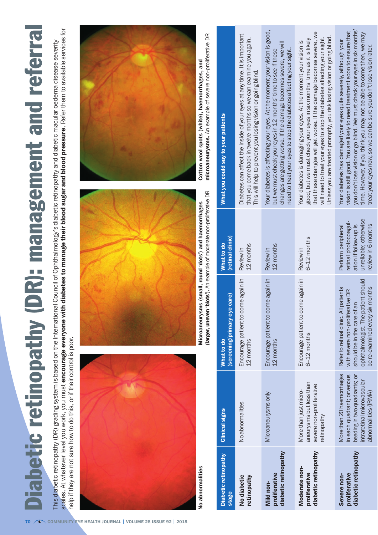## **Diabetic retinopathy (DR): management and referral** Diabetic retinopathy (DR): management and referral

scales. At whatever level you work, you must encourage everyone with diabetes to manage their blood sugar and blood pressure. Refer them to available services for scales. At whatever level you work, you must encourage everyone with diabetes to manage their blood sugar and blood pressure. Refer them to available services for This diabetic retinopathy (DR) grading system is based on the International Council of Ophthalmology's diabetic retinopathy and diabetic macular oedema disease severity This diabetic retinopathy (DR) grading system is based on the International Council of Ophthalmology's diabetic retinopathy and diabetic macular oedema disease severity help if they are not sure how to do this, or if their control is poor. help if they are not sure how to do this, or if their control is poor.



No abnormalities



(larger, uneven 'blots'). An example of moderate non-proliferative DR (larger, uneven 'blots'). An example of moderate non-proliferative DR Microaneurysms (small, round 'dots') and haemorrhages No abnormalities Microaneurysms (small, round 'dots') and haemorrhages



microaneurysms. An example of severe non-proliferative DR microaneurysms. An example of severe non-proliferative DRCotton wool spots (white), haemorrhages, and Cotton wool spots (white), haemorrhages, and

| <b>Diabetic retinopathy</b><br>stage                   | <b>Clinical signs</b>                                                                                                                         | (screening/primary eye care)<br>What to do                                                                                                                                         | (retinal clinic)<br>What to do                                                                                     | What you could say to your patients                                                                                                                                                                                                                                                                                                                                         |
|--------------------------------------------------------|-----------------------------------------------------------------------------------------------------------------------------------------------|------------------------------------------------------------------------------------------------------------------------------------------------------------------------------------|--------------------------------------------------------------------------------------------------------------------|-----------------------------------------------------------------------------------------------------------------------------------------------------------------------------------------------------------------------------------------------------------------------------------------------------------------------------------------------------------------------------|
| retinopathy<br>No diabetic                             | No abnormalities                                                                                                                              | Encourage patient to come again in<br>12 months                                                                                                                                    | 12 months<br>Review in                                                                                             | Diabetes can affect the inside of your eyes at any time. It is important<br>that you come back in twelve months so we can examine you again.<br>This will help to prevent you losing vision or going blind.                                                                                                                                                                 |
| diabetic retinopathy<br>proliferative<br>Mild non-     | Microaneurysms only                                                                                                                           | Encourage patient to come again in<br>12 months                                                                                                                                    | 12 months<br>Review in                                                                                             | Your diabetes is affecting your eyes. At the moment your vision is good,<br>changes are getting worse. If the damage becomes severe, we will<br>need to treat your eyes to stop the diabetes affecting your sight.<br>but we must check your eyes in 12 months' time to see if these                                                                                        |
| diabetic retinopathy<br>Moderate non-<br>proliferative | aneurysms but less than<br>severe non-proliferative<br>More than just micro-<br>retinopathy                                                   | Encourage patient to come again in<br>$6 - 12$ months                                                                                                                              | $6-12$ months<br>Review in                                                                                         | that these changes will get worse. If the damage becomes severe, we<br>Unless you are treated promptly, you risk losing vision or going blind.<br>will need to treat your eyes to stop the diabetes affecting your sight.<br>good, but we must check your eyes in six months' time as it is likely<br>Your diabetes is damaging your eyes. At the moment your vision is     |
| diabetic retinopathy<br>proliferative<br>Severe non-   | More than 20 haemorrhages<br>in each quadrant; or venous<br>beading in two quadrants; or<br>ntraretinal microvascular<br>abnormalities (IRMA) | ophthalmologist. The patient should<br>be re-examined every six months<br>Refer to retinal clinic. All patients<br>with severe non-proliferative DR<br>should be in the care of an | unreliable; otherwise<br>retinal photocoagul-<br>ation if follow-up is<br>review in 6 months<br>Perform peripheral | you don't lose vision or go blind. We must check your eyes in six months'<br>vision is still good. You are likely to need treatment soon to ensure that<br>time. However, if you think you may not be able to come then, we may<br>Your diabetes has damaged your eyes quite severely, although your<br>treat your eyes now, so we can be sure you don't lose vision later. |